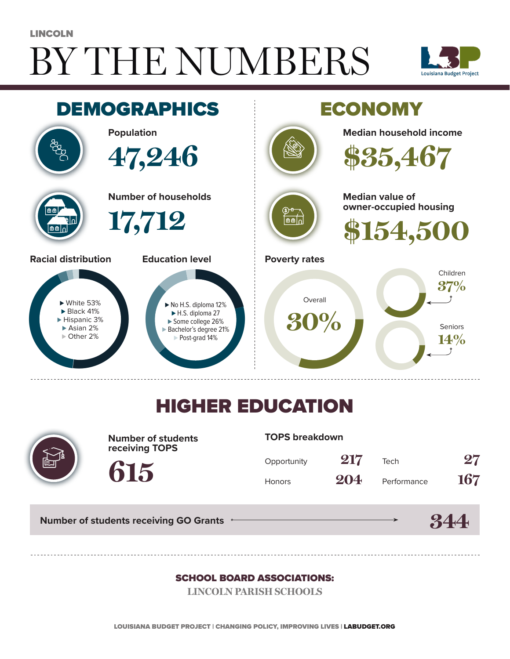# BY THE NUMBERS LINCOLN





## HIGHER EDUCATION



**Number of students receiving TOPS**

**615**

#### **TOPS breakdown**

| Opportunity | 217 | Tech        | $\bf 27$ |
|-------------|-----|-------------|----------|
| Honors      | 204 | Performance | 167      |

**Number of students receiving GO Grants**

#### **344**

#### SCHOOL BOARD ASSOCIATIONS:

**LINCOLN PARISH SCHOOLS**